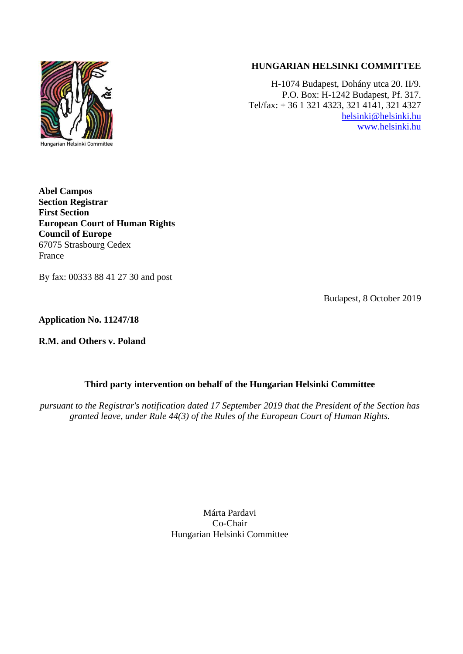

# **HUNGARIAN HELSINKI COMMITTEE**

H-1074 Budapest, Dohány utca 20. II/9. P.O. Box: H-1242 Budapest, Pf. 317. Tel/fax: + 36 1 321 4323, 321 4141, 321 4327 [helsinki@helsinki.hu](mailto:helsinki@helsinki.hu) [www.helsinki.hu](http://www.helsinki.hu/)

**Abel Campos Section Registrar First Section European Court of Human Rights Council of Europe** 67075 Strasbourg Cedex France

By fax: 00333 88 41 27 30 and post

Budapest, 8 October 2019

**Application No. 11247/18**

**R.M. and Others v. Poland**

## **Third party intervention on behalf of the Hungarian Helsinki Committee**

*pursuant to the Registrar's notification dated 17 September 2019 that the President of the Section has granted leave, under Rule 44(3) of the Rules of the European Court of Human Rights.*

> Márta Pardavi Co-Chair Hungarian Helsinki Committee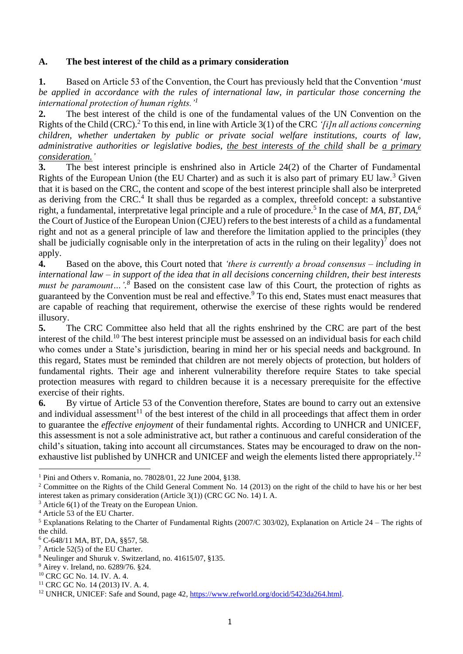## **A. The best interest of the child as a primary consideration**

**1.** Based on Article 53 of the Convention, the Court has previously held that the Convention '*must be applied in accordance with the rules of international law, in particular those concerning the international protection of human rights.'<sup>1</sup>*

**2.** The best interest of the child is one of the fundamental values of the UN Convention on the Rights of the Child (CRC).<sup>2</sup> To this end, in line with Article 3(1) of the CRC *'[i]n all actions concerning children, whether undertaken by public or private social welfare institutions, courts of law, administrative authorities or legislative bodies, the best interests of the child shall be a primary consideration.'* 

**3.** The best interest principle is enshrined also in Article 24(2) of the Charter of Fundamental Rights of the European Union (the EU Charter) and as such it is also part of primary EU law.<sup>3</sup> Given that it is based on the CRC, the content and scope of the best interest principle shall also be interpreted as deriving from the CRC.<sup>4</sup> It shall thus be regarded as a complex, threefold concept: a substantive right, a fundamental, interpretative legal principle and a rule of procedure.<sup>5</sup> In the case of *MA, BT, DA,<sup>6</sup>* the Court of Justice of the European Union (CJEU) refers to the best interests of a child as a fundamental right and not as a general principle of law and therefore the limitation applied to the principles (they shall be judicially cognisable only in the interpretation of acts in the ruling on their legality)<sup>7</sup> does not apply.

**4.** Based on the above, this Court noted that *'there is currently a broad consensus – including in international law – in support of the idea that in all decisions concerning children, their best interests must be paramount...*<sup>8</sup> Based on the consistent case law of this Court, the protection of rights as guaranteed by the Convention must be real and effective.<sup>9</sup> To this end, States must enact measures that are capable of reaching that requirement, otherwise the exercise of these rights would be rendered illusory.

**5.** The CRC Committee also held that all the rights enshrined by the CRC are part of the best interest of the child.<sup>10</sup> The best interest principle must be assessed on an individual basis for each child who comes under a State's jurisdiction, bearing in mind her or his special needs and background. In this regard, States must be reminded that children are not merely objects of protection, but holders of fundamental rights. Their age and inherent vulnerability therefore require States to take special protection measures with regard to children because it is a necessary prerequisite for the effective exercise of their rights.

**6.** By virtue of Article 53 of the Convention therefore, States are bound to carry out an extensive and individual assessment<sup>11</sup> of the best interest of the child in all proceedings that affect them in order to guarantee the *effective enjoyment* of their fundamental rights. According to UNHCR and UNICEF, this assessment is not a sole administrative act, but rather a continuous and careful consideration of the child's situation, taking into account all circumstances. States may be encouraged to draw on the nonexhaustive list published by UNHCR and UNICEF and weigh the elements listed there appropriately.<sup>12</sup>

<sup>1</sup> Pini and Others v. Romania, no. 78028/01, 22 June 2004, §138.

<sup>&</sup>lt;sup>2</sup> Committee on the Rights of the Child General Comment No. 14 (2013) on the right of the child to have his or her best interest taken as primary consideration (Article 3(1)) (CRC GC No. 14) I. A.

 $3$  Article 6(1) of the Treaty on the European Union.

<sup>4</sup> Article 53 of the EU Charter.

<sup>5</sup> Explanations Relating to the Charter of Fundamental Rights (2007/C 303/02), Explanation on Article 24 – The rights of the child.

<sup>6</sup> C-648/11 MA, BT, DA, §§57, 58.

<sup>7</sup> Article 52(5) of the EU Charter.

<sup>8</sup> Neulinger and Shuruk v. Switzerland, no. 41615/07, §135.

<sup>9</sup> Airey v. Ireland, no. 6289/76. §24.

<sup>10</sup> CRC GC No. 14. IV. A. 4.

<sup>11</sup> CRC GC No. 14 (2013) IV. A. 4.

<sup>&</sup>lt;sup>12</sup> UNHCR, UNICEF: Safe and Sound, page 42, [https://www.refworld.org/docid/5423da264.html.](https://www.refworld.org/docid/5423da264.html)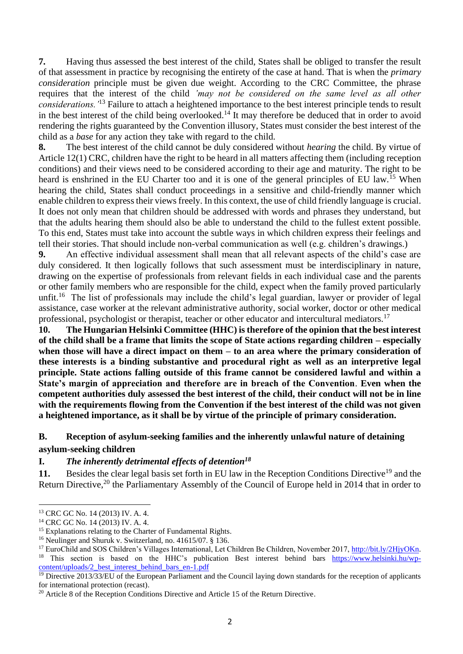**7.** Having thus assessed the best interest of the child, States shall be obliged to transfer the result of that assessment in practice by recognising the entirety of the case at hand. That is when the *primary consideration* principle must be given due weight. According to the CRC Committee, the phrase requires that the interest of the child *'may not be considered on the same level as all other considerations.'*<sup>13</sup> Failure to attach a heightened importance to the best interest principle tends to result in the best interest of the child being overlooked.<sup>14</sup> It may therefore be deduced that in order to avoid rendering the rights guaranteed by the Convention illusory, States must consider the best interest of the child as a *base* for any action they take with regard to the child.

**8.** The best interest of the child cannot be duly considered without *hearing* the child. By virtue of Article 12(1) CRC, children have the right to be heard in all matters affecting them (including reception conditions) and their views need to be considered according to their age and maturity. The right to be heard is enshrined in the EU Charter too and it is one of the general principles of EU law.<sup>15</sup> When hearing the child, States shall conduct proceedings in a sensitive and child-friendly manner which enable children to express their views freely. In this context, the use of child friendly language is crucial. It does not only mean that children should be addressed with words and phrases they understand, but that the adults hearing them should also be able to understand the child to the fullest extent possible. To this end, States must take into account the subtle ways in which children express their feelings and tell their stories. That should include non-verbal communication as well (e.g. children's drawings.)

**9.** An effective individual assessment shall mean that all relevant aspects of the child's case are duly considered. It then logically follows that such assessment must be interdisciplinary in nature, drawing on the expertise of professionals from relevant fields in each individual case and the parents or other family members who are responsible for the child, expect when the family proved particularly unfit.<sup>16</sup> The list of professionals may include the child's legal guardian, lawyer or provider of legal assistance, case worker at the relevant administrative authority, social worker, doctor or other medical professional, psychologist or therapist, teacher or other educator and intercultural mediators.<sup>17</sup>

**10. The Hungarian Helsinki Committee (HHC) is therefore of the opinion that the best interest of the child shall be a frame that limits the scope of State actions regarding children – especially when those will have a direct impact on them – to an area where the primary consideration of these interests is a binding substantive and procedural right as well as an interpretive legal principle. State actions falling outside of this frame cannot be considered lawful and within a State's margin of appreciation and therefore are in breach of the Convention**. **Even when the competent authorities duly assessed the best interest of the child, their conduct will not be in line with the requirements flowing from the Convention if the best interest of the child was not given a heightened importance, as it shall be by virtue of the principle of primary consideration.** 

## **B. Reception of asylum-seeking families and the inherently unlawful nature of detaining asylum-seeking children**

## **I.** *The inherently detrimental effects of detention<sup>18</sup>*

**11.** Besides the clear legal basis set forth in EU law in the Reception Conditions Directive<sup>19</sup> and the Return Directive,<sup>20</sup> the Parliamentary Assembly of the Council of Europe held in 2014 that in order to

<sup>13</sup> CRC GC No. 14 (2013) IV. A. 4.

<sup>14</sup> CRC GC No. 14 (2013) IV. A. 4.

<sup>&</sup>lt;sup>15</sup> Explanations relating to the Charter of Fundamental Rights.

<sup>16</sup> Neulinger and Shuruk v. Switzerland, no. 41615/07. § 136.

<sup>&</sup>lt;sup>17</sup> EuroChild and SOS Children's Villages International, Let Children Be Children, November 2017, [http://bit.ly/2HjyOKn.](http://bit.ly/2HjyOKn) <sup>18</sup> This section is based on the HHC's publication Best interest behind bars [https://www.helsinki.hu/wp](https://www.helsinki.hu/wp-content/uploads/2_best_interest_behind_bars_en-1.pdf)[content/uploads/2\\_best\\_interest\\_behind\\_bars\\_en-1.pdf](https://www.helsinki.hu/wp-content/uploads/2_best_interest_behind_bars_en-1.pdf)

<sup>&</sup>lt;sup>19</sup> Directive 2013/33/EU of the European Parliament and the Council laying down standards for the reception of applicants for international protection (recast).

<sup>&</sup>lt;sup>20</sup> Article 8 of the Reception Conditions Directive and Article 15 of the Return Directive.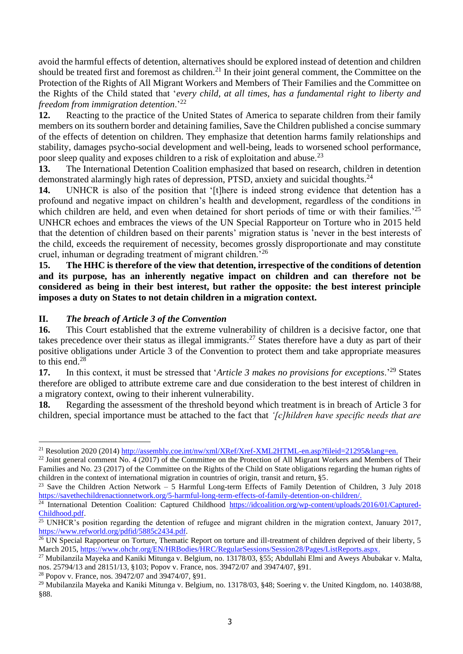avoid the harmful effects of detention, alternatives should be explored instead of detention and children should be treated first and foremost as children.<sup>21</sup> In their joint general comment, the Committee on the Protection of the Rights of All Migrant Workers and Members of Their Families and the Committee on the Rights of the Child stated that '*every child, at all times, has a fundamental right to liberty and freedom from immigration detention*.'<sup>22</sup>

**12.** Reacting to the practice of the United States of America to separate children from their family members on its southern border and detaining families, Save the Children published a concise summary of the effects of detention on children. They emphasize that detention harms family relationships and stability, damages psycho-social development and well-being, leads to worsened school performance, poor sleep quality and exposes children to a risk of exploitation and abuse.<sup>23</sup>

**13.** The International Detention Coalition emphasized that based on research, children in detention demonstrated alarmingly high rates of depression, PTSD, anxiety and suicidal thoughts.<sup>24</sup>

14. UNHCR is also of the position that '[t]here is indeed strong evidence that detention has a profound and negative impact on children's health and development, regardless of the conditions in which children are held, and even when detained for short periods of time or with their families.<sup>25</sup> UNHCR echoes and embraces the views of the UN Special Rapporteur on Torture who in 2015 held that the detention of children based on their parents' migration status is 'never in the best interests of the child, exceeds the requirement of necessity, becomes grossly disproportionate and may constitute cruel, inhuman or degrading treatment of migrant children.'<sup>26</sup>

**15. The HHC is therefore of the view that detention, irrespective of the conditions of detention and its purpose, has an inherently negative impact on children and can therefore not be considered as being in their best interest, but rather the opposite: the best interest principle imposes a duty on States to not detain children in a migration context.**

## **II.** *The breach of Article 3 of the Convention*

**16.** This Court established that the extreme vulnerability of children is a decisive factor, one that takes precedence over their status as illegal immigrants.<sup>27</sup> States therefore have a duty as part of their positive obligations under Article 3 of the Convention to protect them and take appropriate measures to this end.<sup>28</sup>

**17.** In this context, it must be stressed that '*Article 3 makes no provisions for exceptions*.'<sup>29</sup> States therefore are obliged to attribute extreme care and due consideration to the best interest of children in a migratory context, owing to their inherent vulnerability.

**18.** Regarding the assessment of the threshold beyond which treatment is in breach of Article 3 for children, special importance must be attached to the fact that *'[c]hildren have specific needs that are* 

<sup>28</sup> Popov v. France, nos. 39472/07 and 39474/07, §91.

<sup>&</sup>lt;sup>21</sup> Resolution 2020 (2014) [http://assembly.coe.int/nw/xml/XRef/Xref-XML2HTML-en.asp?fileid=21295&lang=en.](http://assembly.coe.int/nw/xml/XRef/Xref-XML2HTML-en.asp?fileid=21295&lang=en)

<sup>&</sup>lt;sup>22</sup> Joint general comment No. 4 (2017) of the Committee on the Protection of All Migrant Workers and Members of Their Families and No. 23 (2017) of the Committee on the Rights of the Child on State obligations regarding the human rights of children in the context of international migration in countries of origin, transit and return, §5.

<sup>&</sup>lt;sup>23</sup> Save the Children Action Network – 5 Harmful Long-term Effects of Family Detention of Children, 3 July 2018 [https://savethechildrenactionnetwork.org/5-harmful-long-term-effects-of-family-detention-on-children/.](https://savethechildrenactionnetwork.org/5-harmful-long-term-effects-of-family-detention-on-children/)

<sup>&</sup>lt;sup>24</sup> International Detention Coalition: Captured Childhood [https://idcoalition.org/wp-content/uploads/2016/01/Captured-](https://idcoalition.org/wp-content/uploads/2016/01/Captured-Childhood.pdf)[Childhood.pdf.](https://idcoalition.org/wp-content/uploads/2016/01/Captured-Childhood.pdf)

 $25$  UNHCR's position regarding the detention of refugee and migrant children in the migration context, January 2017, [https://www.refworld.org/pdfid/5885c2434.pdf.](https://www.refworld.org/pdfid/5885c2434.pdf)

 $^{26}$  UN Special Rapporteur on Torture, Thematic Report on torture and ill-treatment of children deprived of their liberty, 5 March 2015, [https://www.ohchr.org/EN/HRBodies/HRC/RegularSessions/Session28/Pages/ListReports.aspx.](https://www.ohchr.org/EN/HRBodies/HRC/RegularSessions/Session28/Pages/ListReports.aspx)

<sup>27</sup> Mubilanzila Mayeka and Kaniki Mitunga v. Belgium, no. 13178/03, §55; Abdullahi Elmi and Aweys Abubakar v. Malta, nos. 25794/13 and 28151/13, §103; Popov v. France, nos. 39472/07 and 39474/07, §91.

<sup>&</sup>lt;sup>29</sup> Mubilanzila Mayeka and Kaniki Mitunga v. Belgium, no. 13178/03, §48; Soering v. the United Kingdom, no. 14038/88, §88.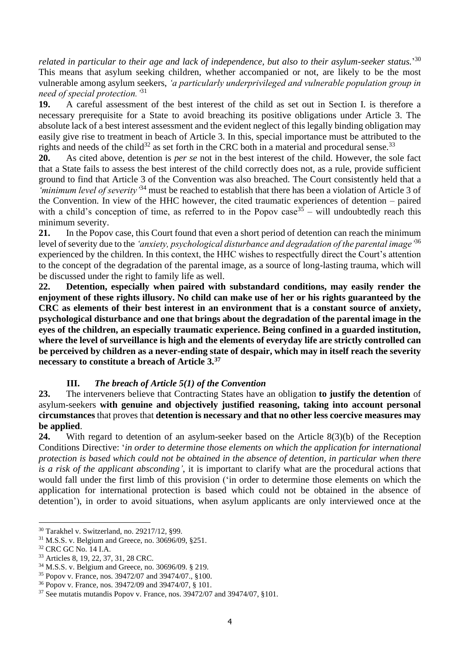*related in particular to their age and lack of independence, but also to their asylum-seeker status.*' 30 This means that asylum seeking children, whether accompanied or not, are likely to be the most vulnerable among asylum seekers, *'a particularly underprivileged and vulnerable population group in need of special protection.'*<sup>31</sup>

**19.** A careful assessment of the best interest of the child as set out in Section I. is therefore a necessary prerequisite for a State to avoid breaching its positive obligations under Article 3. The absolute lack of a best interest assessment and the evident neglect of this legally binding obligation may easily give rise to treatment in beach of Article 3. In this, special importance must be attributed to the rights and needs of the child<sup>32</sup> as set forth in the CRC both in a material and procedural sense.<sup>33</sup>

**20.** As cited above, detention is *per se* not in the best interest of the child. However, the sole fact that a State fails to assess the best interest of the child correctly does not, as a rule, provide sufficient ground to find that Article 3 of the Convention was also breached. The Court consistently held that a *'minimum level of severity'*<sup>34</sup> must be reached to establish that there has been a violation of Article 3 of the Convention. In view of the HHC however, the cited traumatic experiences of detention – paired with a child's conception of time, as referred to in the Popov case<sup>35</sup> – will undoubtedly reach this minimum severity.

**21.** In the Popov case, this Court found that even a short period of detention can reach the minimum level of severity due to the *'anxiety, psychological disturbance and degradation of the parental image'*<sup>36</sup> experienced by the children. In this context, the HHC wishes to respectfully direct the Court's attention to the concept of the degradation of the parental image, as a source of long-lasting trauma, which will be discussed under the right to family life as well.

**22. Detention, especially when paired with substandard conditions, may easily render the enjoyment of these rights illusory. No child can make use of her or his rights guaranteed by the CRC as elements of their best interest in an environment that is a constant source of anxiety, psychological disturbance and one that brings about the degradation of the parental image in the eyes of the children, an especially traumatic experience. Being confined in a guarded institution, where the level of surveillance is high and the elements of everyday life are strictly controlled can be perceived by children as a never-ending state of despair, which may in itself reach the severity necessary to constitute a breach of Article 3.<sup>37</sup>**

## **III.** *The breach of Article 5(1) of the Convention*

**23.** The interveners believe that Contracting States have an obligation **to justify the detention** of asylum-seekers **with genuine and objectively justified reasoning, taking into account personal circumstances** that proves that **detention is necessary and that no other less coercive measures may be applied**.

**24.** With regard to detention of an asylum-seeker based on the Article 8(3)(b) of the Reception Conditions Directive: '*in order to determine those elements on which the application for international protection is based which could not be obtained in the absence of detention, in particular when there is a risk of the applicant absconding'*, it is important to clarify what are the procedural actions that would fall under the first limb of this provision ('in order to determine those elements on which the application for international protection is based which could not be obtained in the absence of detention'), in order to avoid situations, when asylum applicants are only interviewed once at the

<sup>30</sup> Tarakhel v. Switzerland, no. 29217/12, §99.

<sup>31</sup> M.S.S. v. Belgium and Greece, no. 30696/09, §251.

<sup>32</sup> CRC GC No. 14 I.A.

<sup>33</sup> Articles 8, 19, 22, 37, 31, 28 CRC.

<sup>34</sup> M.S.S. v. Belgium and Greece, no. 30696/09. § 219.

<sup>35</sup> Popov v. France, nos. 39472/07 and 39474/07., §100.

<sup>36</sup> Popov v. France, nos. 39472/09 and 39474/07, § 101.

 $37$  See mutatis mutandis Popov v. France, nos.  $39472/07$  and  $39474/07$ ,  $\S101$ .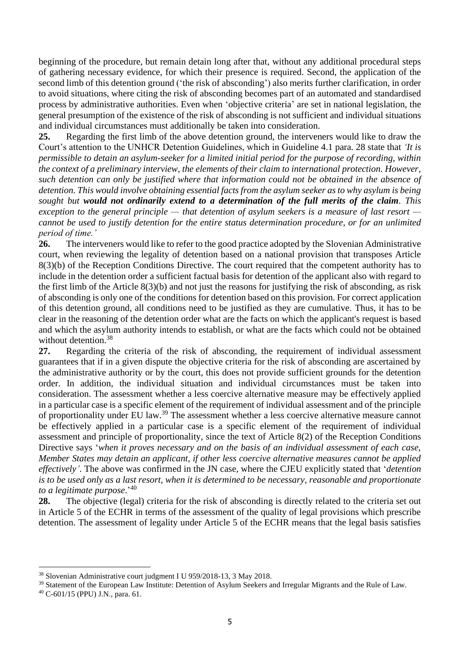beginning of the procedure, but remain detain long after that, without any additional procedural steps of gathering necessary evidence, for which their presence is required. Second, the application of the second limb of this detention ground ('the risk of absconding') also merits further clarification, in order to avoid situations, where citing the risk of absconding becomes part of an automated and standardised process by administrative authorities. Even when 'objective criteria' are set in national legislation, the general presumption of the existence of the risk of absconding is not sufficient and individual situations and individual circumstances must additionally be taken into consideration.

**25.** Regarding the first limb of the above detention ground, the interveners would like to draw the Court's attention to the UNHCR Detention Guidelines, which in Guideline 4.1 para. 28 state that *'It is permissible to detain an asylum-seeker for a limited initial period for the purpose of recording, within the context of a preliminary interview, the elements of their claim to international protection. However, such detention can only be justified where that information could not be obtained in the absence of detention. This would involve obtaining essential facts from the asylum seeker as to why asylum is being sought but would not ordinarily extend to a determination of the full merits of the claim. This exception to the general principle — that detention of asylum seekers is a measure of last resort cannot be used to justify detention for the entire status determination procedure, or for an unlimited period of time.'*

**26.** The interveners would like to refer to the good practice adopted by the Slovenian Administrative court, when reviewing the legality of detention based on a national provision that transposes Article 8(3)(b) of the Reception Conditions Directive. The court required that the competent authority has to include in the detention order a sufficient factual basis for detention of the applicant also with regard to the first limb of the Article 8(3)(b) and not just the reasons for justifying the risk of absconding, as risk of absconding is only one of the conditions for detention based on this provision. For correct application of this detention ground, all conditions need to be justified as they are cumulative. Thus, it has to be clear in the reasoning of the detention order what are the facts on which the applicant's request is based and which the asylum authority intends to establish, or what are the facts which could not be obtained without detention.<sup>38</sup>

**27.** Regarding the criteria of the risk of absconding, the requirement of individual assessment guarantees that if in a given dispute the objective criteria for the risk of absconding are ascertained by the administrative authority or by the court, this does not provide sufficient grounds for the detention order. In addition, the individual situation and individual circumstances must be taken into consideration. The assessment whether a less coercive alternative measure may be effectively applied in a particular case is a specific element of the requirement of individual assessment and of the principle of proportionality under EU law.<sup>39</sup> The assessment whether a less coercive alternative measure cannot be effectively applied in a particular case is a specific element of the requirement of individual assessment and principle of proportionality, since the text of Article 8(2) of the Reception Conditions Directive says '*when it proves necessary and on the basis of an individual assessment of each case, Member States may detain an applicant, if other less coercive alternative measures cannot be applied effectively'*. The above was confirmed in the JN case, where the CJEU explicitly stated that '*detention is to be used only as a last resort, when it is determined to be necessary, reasonable and proportionate to a legitimate purpose*.' 40

**28.** The objective (legal) criteria for the risk of absconding is directly related to the criteria set out in Article 5 of the ECHR in terms of the assessment of the quality of legal provisions which prescribe detention. The assessment of legality under Article 5 of the ECHR means that the legal basis satisfies

<sup>38</sup> Slovenian Administrative court judgment I U 959/2018-13, 3 May 2018.

<sup>39</sup> Statement of the European Law Institute: Detention of Asylum Seekers and Irregular Migrants and the Rule of Law.

<sup>40</sup> C-601/15 (PPU) J.N., para. 61.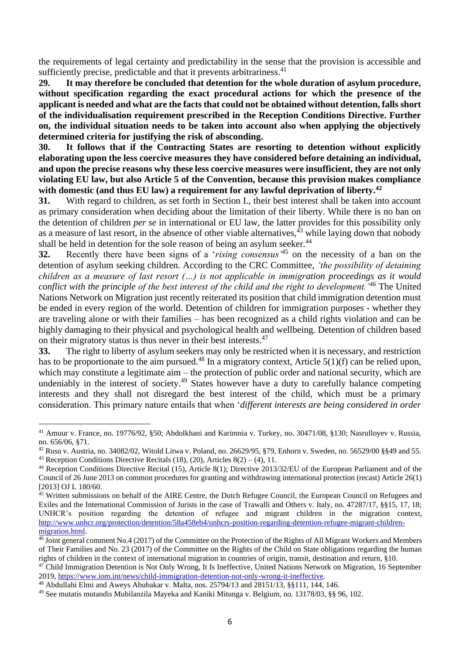the requirements of legal certainty and predictability in the sense that the provision is accessible and sufficiently precise, predictable and that it prevents arbitrariness.<sup>41</sup>

**29. It may therefore be concluded that detention for the whole duration of asylum procedure, without specification regarding the exact procedural actions for which the presence of the applicant is needed and what are the facts that could not be obtained without detention, falls short of the individualisation requirement prescribed in the Reception Conditions Directive. Further on, the individual situation needs to be taken into account also when applying the objectively determined criteria for justifying the risk of absconding.** 

**30. It follows that if the Contracting States are resorting to detention without explicitly elaborating upon the less coercive measures they have considered before detaining an individual, and upon the precise reasons why these less coercive measures were insufficient, they are not only violating EU law, but also Article 5 of the Convention, because this provision makes compliance with domestic (and thus EU law) a requirement for any lawful deprivation of liberty. 42**

**31.** With regard to children, as set forth in Section I., their best interest shall be taken into account as primary consideration when deciding about the limitation of their liberty. While there is no ban on the detention of children *per se* in international or EU law, the latter provides for this possibility only as a measure of last resort, in the absence of other viable alternatives,  $43$  while laying down that nobody shall be held in detention for the sole reason of being an asylum seeker.<sup>44</sup>

**32.** Recently there have been signs of a '*rising consensus'*<sup>45</sup> on the necessity of a ban on the detention of asylum seeking children. According to the CRC Committee, *'the possibility of detaining children as a measure of last resort (…) is not applicable in immigration proceedings as it would conflict with the principle of the best interest of the child and the right to development.'*<sup>46</sup> The United Nations Network on Migration just recently reiterated its position that child immigration detention must be ended in every region of the world. Detention of children for immigration purposes - whether they are traveling alone or with their families – has been recognized as a child rights violation and can be highly damaging to their physical and psychological health and wellbeing. Detention of children based on their migratory status is thus never in their best interests.<sup>47</sup>

**33.** The right to liberty of asylum seekers may only be restricted when it is necessary, and restriction has to be proportionate to the aim pursued.<sup>48</sup> In a migratory context, Article  $5(1)(f)$  can be relied upon, which may constitute a legitimate aim – the protection of public order and national security, which are undeniably in the interest of society.<sup>49</sup> States however have a duty to carefully balance competing interests and they shall not disregard the best interest of the child, which must be a primary consideration. This primary nature entails that when '*different interests are being considered in order* 

<sup>41</sup> Amuur v. France, no. 19776/92, §50; Abdolkhani and Karimnia v. Turkey, no. 30471/08, §130; Nasrulloyev v. Russia, no. 656/06, §71.

 $42$  Rusu v. Austria, no. 34082/02, Witold Litwa v. Poland, no. 26629/95, §79, Enhorn v. Sweden, no. 56529/00 §§49 and 55. <sup>43</sup> Reception Conditions Directive Recitals (18), (20), Articles  $8(2) - (4)$ , 11.

<sup>44</sup> Reception Conditions Directive Recital (15), Article 8(1); Directive 2013/32/EU of the European Parliament and of the Council of 26 June 2013 on common procedures for granting and withdrawing international protection (recast) Article 26(1) [2013] OJ L 180/60.

<sup>45</sup> Written submissions on behalf of the AIRE Centre, the Dutch Refugee Council, the European Council on Refugees and Exiles and the International Commission of Jurists in the case of Trawalli and Others v. Italy, no. 47287/17, §§15, 17, 18; UNHCR's position regarding the detention of refugee and migrant children in the migration context, [http://www.unhcr.org/protection/detention/58a458eb4/unhcrs-position-regarding-detention-refugee-migrant-children](http://www.unhcr.org/protection/detention/58a458eb4/unhcrs-position-regarding-detention-refugee-migrant-children-migration.html)[migration.html.](http://www.unhcr.org/protection/detention/58a458eb4/unhcrs-position-regarding-detention-refugee-migrant-children-migration.html) 

<sup>46</sup> Joint general comment No.4 (2017) of the Committee on the Protection of the Rights of All Migrant Workers and Members of Their Families and No. 23 (2017) of the Committee on the Rights of the Child on State obligations regarding the human rights of children in the context of international migration in countries of origin, transit, destination and return, §10.

<sup>&</sup>lt;sup>47</sup> Child Immigration Detention is Not Only Wrong, It Is Ineffective, United Nations Network on Migration, 16 September 2019, [https://www.iom.int/news/child-immigration-detention-not-only-wrong-it-ineffective.](https://www.iom.int/news/child-immigration-detention-not-only-wrong-it-ineffective)

<sup>48</sup> Abdullahi Elmi and Aweys Abubakar v. Malta, nos. 25794/13 and 28151/13, §§111, 144, 146.

<sup>49</sup> See mutatis mutandis Mubilanzila Mayeka and Kaniki Mitunga v. Belgium, no. 13178/03, §§ 96, 102.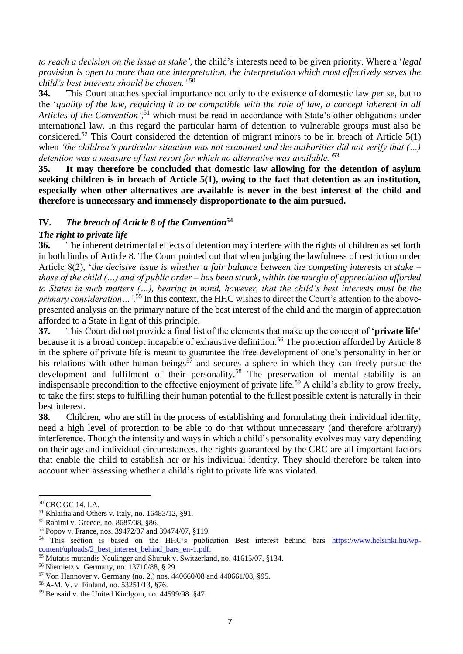*to reach a decision on the issue at stake',* the child's interests need to be given priority. Where a '*legal provision is open to more than one interpretation, the interpretation which most effectively serves the child's best interests should be chosen.'* 50

**34.** This Court attaches special importance not only to the existence of domestic law *per se*, but to the '*quality of the law, requiring it to be compatible with the rule of law, a concept inherent in all Articles of the Convention',* <sup>51</sup> which must be read in accordance with State's other obligations under international law. In this regard the particular harm of detention to vulnerable groups must also be considered.<sup>52</sup> This Court considered the detention of migrant minors to be in breach of Article  $5(1)$ when *'the children's particular situation was not examined and the authorities did not verify that (…) detention was a measure of last resort for which no alternative was available.'*<sup>53</sup>

**35. It may therefore be concluded that domestic law allowing for the detention of asylum seeking children is in breach of Article 5(1), owing to the fact that detention as an institution, especially when other alternatives are available is never in the best interest of the child and therefore is unnecessary and immensely disproportionate to the aim pursued.**

## **IV.** *The breach of Article 8 of the Convention***<sup>54</sup>**

## *The right to private life*

**36.** The inherent detrimental effects of detention may interfere with the rights of children as set forth in both limbs of Article 8. The Court pointed out that when judging the lawfulness of restriction under Article 8(2), '*the decisive issue is whether a fair balance between the competing interests at stake – those of the child (…) and of public order – has been struck, within the margin of appreciation afforded to States in such matters (…), bearing in mind, however, that the child's best interests must be the primary consideration…'.* <sup>55</sup> In this context, the HHC wishes to direct the Court's attention to the abovepresented analysis on the primary nature of the best interest of the child and the margin of appreciation afforded to a State in light of this principle.

**37.** This Court did not provide a final list of the elements that make up the concept of '**private life**' because it is a broad concept incapable of exhaustive definition.<sup>56</sup> The protection afforded by Article 8 in the sphere of private life is meant to guarantee the free development of one's personality in her or his relations with other human beings<sup>57</sup> and secures a sphere in which they can freely pursue the development and fulfilment of their personality.<sup>58</sup> The preservation of mental stability is an indispensable precondition to the effective enjoyment of private life.<sup>59</sup> A child's ability to grow freely, to take the first steps to fulfilling their human potential to the fullest possible extent is naturally in their best interest.

**38.** Children, who are still in the process of establishing and formulating their individual identity, need a high level of protection to be able to do that without unnecessary (and therefore arbitrary) interference. Though the intensity and ways in which a child's personality evolves may vary depending on their age and individual circumstances, the rights guaranteed by the CRC are all important factors that enable the child to establish her or his individual identity. They should therefore be taken into account when assessing whether a child's right to private life was violated.

<sup>50</sup> CRC GC 14. I.A.

<sup>51</sup> Khlaifia and Others v. Italy, no. 16483/12, §91.

<sup>52</sup> Rahimi v. Greece, no. 8687/08, §86.

<sup>53</sup> Popov v. France, nos. 39472/07 and 39474/07, §119.

<sup>54</sup> This section is based on the HHC's publication Best interest behind bars [https://www.helsinki.hu/wp](https://www.helsinki.hu/wp-content/uploads/2_best_interest_behind_bars_en-1.pdf)[content/uploads/2\\_best\\_interest\\_behind\\_bars\\_en-1.pdf.](https://www.helsinki.hu/wp-content/uploads/2_best_interest_behind_bars_en-1.pdf)

<sup>&</sup>lt;sup>55</sup> Mutatis mutandis Neulinger and Shuruk v. Switzerland, no. 41615/07, §134.

<sup>56</sup> Niemietz v. Germany, no. 13710/88, § 29.

<sup>57</sup> Von Hannover v. Germany (no. 2.) nos. 440660/08 and 440661/08, §95.

<sup>58</sup> A-M. V. v. Finland, no. 53251/13, §76.

<sup>59</sup> Bensaid v. the United Kindgom, no. 44599/98. §47.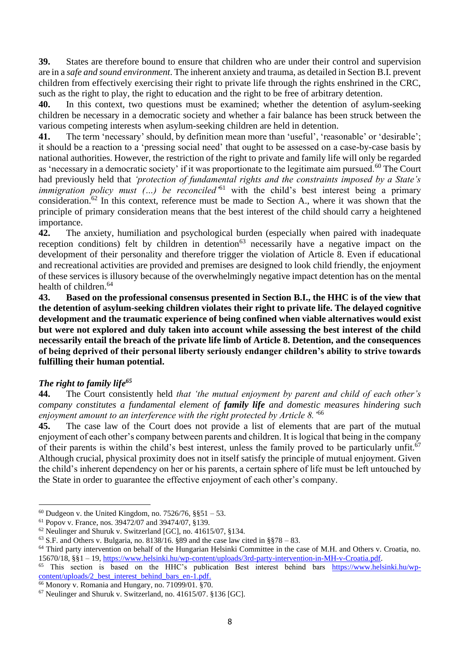**39.** States are therefore bound to ensure that children who are under their control and supervision are in a *safe and sound environment*. The inherent anxiety and trauma, as detailed in Section B.I. prevent children from effectively exercising their right to private life through the rights enshrined in the CRC, such as the right to play, the right to education and the right to be free of arbitrary detention.

**40.** In this context, two questions must be examined; whether the detention of asylum-seeking children be necessary in a democratic society and whether a fair balance has been struck between the various competing interests when asylum-seeking children are held in detention.

**41.** The term 'necessary' should, by definition mean more than 'useful', 'reasonable' or 'desirable'; it should be a reaction to a 'pressing social need' that ought to be assessed on a case-by-case basis by national authorities. However, the restriction of the right to private and family life will only be regarded as 'necessary in a democratic society' if it was proportionate to the legitimate aim pursued.<sup>60</sup> The Court had previously held that *'protection of fundamental rights and the constraints imposed by a State's immigration policy must (...) be reconciled*<sup>61</sup> with the child's best interest being a primary consideration.<sup>62</sup> In this context, reference must be made to Section A., where it was shown that the principle of primary consideration means that the best interest of the child should carry a heightened importance.

**42.** The anxiety, humiliation and psychological burden (especially when paired with inadequate reception conditions) felt by children in detention<sup>63</sup> necessarily have a negative impact on the development of their personality and therefore trigger the violation of Article 8. Even if educational and recreational activities are provided and premises are designed to look child friendly, the enjoyment of these services is illusory because of the overwhelmingly negative impact detention has on the mental health of children.<sup>64</sup>

**43. Based on the professional consensus presented in Section B.I., the HHC is of the view that the detention of asylum-seeking children violates their right to private life. The delayed cognitive development and the traumatic experience of being confined when viable alternatives would exist but were not explored and duly taken into account while assessing the best interest of the child necessarily entail the breach of the private life limb of Article 8. Detention, and the consequences of being deprived of their personal liberty seriously endanger children's ability to strive towards fulfilling their human potential.** 

## *The right to family life<sup>65</sup>*

**44.** The Court consistently held *that 'the mutual enjoyment by parent and child of each other's company constitutes a fundamental element of family life and domestic measures hindering such enjoyment amount to an interference with the right protected by Article 8.'*<sup>66</sup>

**45.** The case law of the Court does not provide a list of elements that are part of the mutual enjoyment of each other's company between parents and children. It is logical that being in the company of their parents is within the child's best interest, unless the family proved to be particularly unfit.<sup>67</sup> Although crucial, physical proximity does not in itself satisfy the principle of mutual enjoyment. Given the child's inherent dependency on her or his parents, a certain sphere of life must be left untouched by the State in order to guarantee the effective enjoyment of each other's company.

 $60$  Dudgeon v. the United Kingdom, no. 7526/76, §§51 – 53.

<sup>61</sup> Popov v. France, nos. 39472/07 and 39474/07, §139.

<sup>62</sup> Neulinger and Shuruk v. Switzerland [GC], no. 41615/07, §134.

 $63$  S.F. and Others v. Bulgaria, no. 8138/16. §89 and the case law cited in §§78 – 83.

<sup>&</sup>lt;sup>64</sup> Third party intervention on behalf of the Hungarian Helsinki Committee in the case of M.H. and Others v. Croatia, no. 15670/18, §§1 – 19, [https://www.helsinki.hu/wp-content/uploads/3rd-party-intervention-in-MH-v-Croatia.pdf.](https://www.helsinki.hu/wp-content/uploads/3rd-party-intervention-in-MH-v-Croatia.pdf)

 $65$  This section is based on the HHC's publication Best interest behind bars [https://www.helsinki.hu/wp](https://www.helsinki.hu/wp-content/uploads/2_best_interest_behind_bars_en-1.pdf)[content/uploads/2\\_best\\_interest\\_behind\\_bars\\_en-1.pdf.](https://www.helsinki.hu/wp-content/uploads/2_best_interest_behind_bars_en-1.pdf)

<sup>66</sup> Monory v. Romania and Hungary, no. 71099/01. §70.

<sup>67</sup> Neulinger and Shuruk v. Switzerland, no. 41615/07. §136 [GC].